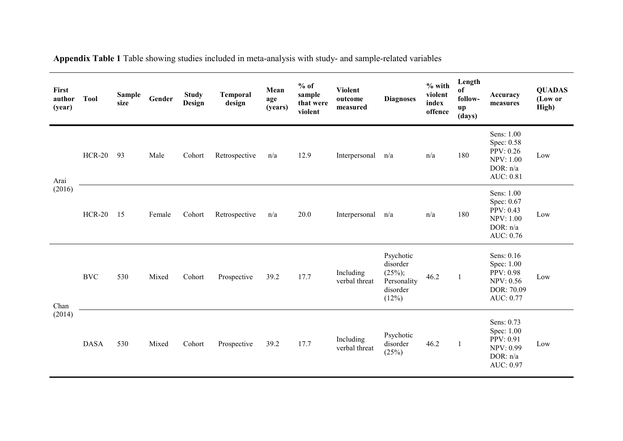| First<br>author<br>(year) | <b>Tool</b>          | Sample<br>size | Gender | <b>Study</b><br>Design | <b>Temporal</b><br>design | Mean<br>age<br>(years) | $%$ of<br>sample<br>that were<br>violent | <b>Violent</b><br>outcome<br>measured | <b>Diagnoses</b>                                                        | $%$ with<br>violent<br>index<br>offence | Length<br>of<br>follow-<br>up<br>(days) | Accuracy<br>measures                                                                 | <b>QUADAS</b><br>(Low or<br>High) |
|---------------------------|----------------------|----------------|--------|------------------------|---------------------------|------------------------|------------------------------------------|---------------------------------------|-------------------------------------------------------------------------|-----------------------------------------|-----------------------------------------|--------------------------------------------------------------------------------------|-----------------------------------|
| Arai<br>(2016)            | $HCR-20$             | 93             | Male   | Cohort                 | Retrospective             | n/a                    | 12.9                                     | Interpersonal                         | n/a                                                                     | n/a                                     | 180                                     | Sens: 1.00<br>Spec: 0.58<br>PPV: 0.26<br><b>NPV: 1.00</b><br>DOR: n/a<br>AUC: 0.81   | Low                               |
|                           | $HCR-20$             | 15             | Female | Cohort                 | Retrospective             | n/a                    | 20.0                                     | Interpersonal                         | n/a                                                                     | n/a                                     | 180                                     | Sens: 1.00<br>Spec: 0.67<br>PPV: 0.43<br><b>NPV: 1.00</b><br>DOR: $n/a$<br>AUC: 0.76 | Low                               |
| Chan<br>(2014)            | $\operatorname{BVC}$ | 530            | Mixed  | Cohort                 | Prospective               | 39.2                   | 17.7                                     | Including<br>verbal threat            | Psychotic<br>disorder<br>$(25\%)$ ;<br>Personality<br>disorder<br>(12%) | 46.2                                    | $\mathbf{1}$                            | Sens: 0.16<br>Spec: 1.00<br>PPV: 0.98<br><b>NPV: 0.56</b><br>DOR: 70.09<br>AUC: 0.77 | Low                               |
|                           | <b>DASA</b>          | 530            | Mixed  | Cohort                 | Prospective               | 39.2                   | 17.7                                     | Including<br>verbal threat            | Psychotic<br>disorder<br>(25%)                                          | 46.2                                    | 1                                       | Sens: 0.73<br>Spec: 1.00<br>PPV: 0.91<br><b>NPV: 0.99</b><br>DOR: n/a<br>AUC: 0.97   | Low                               |

**Appendix Table 1** Table showing studies included in meta-analysis with study- and sample-related variables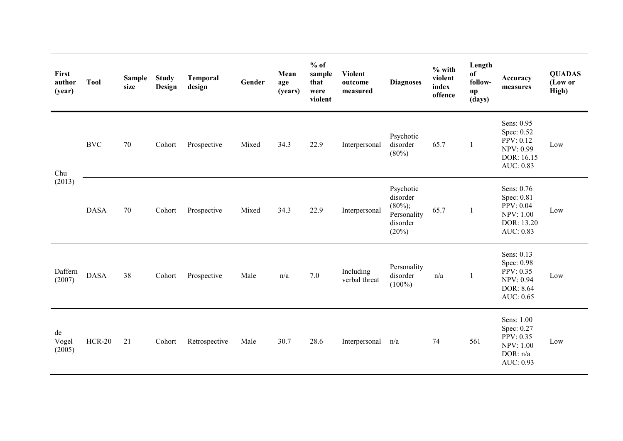| First<br>author<br>(year) | <b>Tool</b>   | <b>Sample</b><br>size | <b>Study</b><br>Design | <b>Temporal</b><br>design | Gender | Mean<br>age<br>(years) | $%$ of<br>sample<br>that<br>were<br>violent | <b>Violent</b><br>outcome<br>measured | <b>Diagnoses</b>                                                        | $%$ with<br>violent<br>index<br>offence | Length<br>of<br>follow-<br>up<br>(days) | Accuracy<br>measures                                                                 | <b>QUADAS</b><br>(Low or<br>High) |
|---------------------------|---------------|-----------------------|------------------------|---------------------------|--------|------------------------|---------------------------------------------|---------------------------------------|-------------------------------------------------------------------------|-----------------------------------------|-----------------------------------------|--------------------------------------------------------------------------------------|-----------------------------------|
| Chu                       | <b>BVC</b>    | 70                    | Cohort                 | Prospective               | Mixed  | 34.3                   | 22.9                                        | Interpersonal                         | Psychotic<br>disorder<br>(80%)                                          | 65.7                                    | $\mathbf{1}$                            | Sens: 0.95<br>Spec: 0.52<br>PPV: 0.12<br><b>NPV: 0.99</b><br>DOR: 16.15<br>AUC: 0.83 | Low                               |
| (2013)                    | <b>DASA</b>   | 70                    | Cohort                 | Prospective               | Mixed  | 34.3                   | 22.9                                        | Interpersonal                         | Psychotic<br>disorder<br>$(80\%)$ ;<br>Personality<br>disorder<br>(20%) | 65.7                                    | $\mathbf{1}$                            | Sens: 0.76<br>Spec: 0.81<br>PPV: 0.04<br><b>NPV: 1.00</b><br>DOR: 13.20<br>AUC: 0.83 | Low                               |
| Daffern<br>(2007)         | <b>DASA</b>   | 38                    | Cohort                 | Prospective               | Male   | n/a                    | 7.0                                         | Including<br>verbal threat            | Personality<br>disorder<br>$(100\%)$                                    | n/a                                     | 1                                       | Sens: 0.13<br>Spec: 0.98<br>PPV: 0.35<br><b>NPV: 0.94</b><br>DOR: 8.64<br>AUC: 0.65  | Low                               |
| de<br>Vogel<br>(2005)     | <b>HCR-20</b> | 21                    | Cohort                 | Retrospective             | Male   | 30.7                   | 28.6                                        | Interpersonal                         | n/a                                                                     | 74                                      | 561                                     | Sens: 1.00<br>Spec: 0.27<br>PPV: 0.35<br><b>NPV: 1.00</b><br>DOR: n/a<br>AUC: 0.93   | Low                               |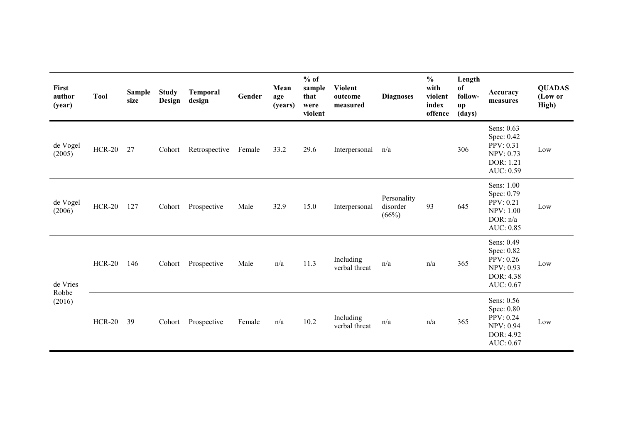| First<br>author<br>(year)   | <b>Tool</b>   | Sample<br>size | <b>Study</b><br>Design | Temporal<br>design | Gender | Mean<br>age<br>(years) | $%$ of<br>sample<br>that<br>were<br>violent | <b>Violent</b><br>outcome<br>measured | <b>Diagnoses</b>                 | $\frac{0}{0}$<br>with<br>violent<br>index<br>offence | Length<br>of<br>follow-<br>up<br>(days) | Accuracy<br>measures                                                                 | <b>QUADAS</b><br>(Low or<br>High) |
|-----------------------------|---------------|----------------|------------------------|--------------------|--------|------------------------|---------------------------------------------|---------------------------------------|----------------------------------|------------------------------------------------------|-----------------------------------------|--------------------------------------------------------------------------------------|-----------------------------------|
| de Vogel<br>(2005)          | <b>HCR-20</b> | 27             | Cohort                 | Retrospective      | Female | 33.2                   | 29.6                                        | Interpersonal                         | n/a                              |                                                      | 306                                     | Sens: 0.63<br>Spec: 0.42<br>PPV: 0.31<br>NPV: 0.73<br>DOR: 1.21<br>AUC: 0.59         | Low                               |
| de Vogel<br>(2006)          | $HCR-20$      | 127            | Cohort                 | Prospective        | Male   | 32.9                   | 15.0                                        | Interpersonal                         | Personality<br>disorder<br>(66%) | 93                                                   | 645                                     | Sens: 1.00<br>Spec: 0.79<br>PPV: 0.21<br><b>NPV: 1.00</b><br>DOR: $n/a$<br>AUC: 0.85 | Low                               |
| de Vries<br>Robbe<br>(2016) | $HCR-20$      | 146            | Cohort                 | Prospective        | Male   | n/a                    | 11.3                                        | Including<br>verbal threat            | n/a                              | n/a                                                  | 365                                     | Sens: 0.49<br>Spec: 0.82<br>PPV: 0.26<br><b>NPV: 0.93</b><br>DOR: 4.38<br>AUC: 0.67  | Low                               |
|                             | HCR-20 39     |                | Cohort                 | Prospective        | Female | n/a                    | 10.2                                        | Including<br>verbal threat            | n/a                              | n/a                                                  | 365                                     | Sens: 0.56<br>Spec: 0.80<br>PPV: 0.24<br><b>NPV: 0.94</b><br>DOR: 4.92<br>AUC: 0.67  | Low                               |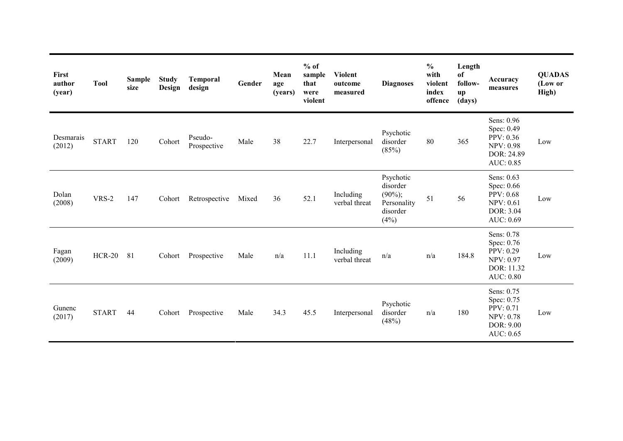| First<br>author<br>(year) | <b>Tool</b>  | <b>Sample</b><br>size | <b>Study</b><br>Design | <b>Temporal</b><br>design | Gender | Mean<br>age<br>(years) | $%$ of<br>sample<br>that<br>were<br>violent | <b>Violent</b><br>outcome<br>measured | <b>Diagnoses</b>                                                       | $\frac{0}{0}$<br>with<br>violent<br>index<br>offence | Length<br>of<br>follow-<br>up<br>(days) | Accuracy<br>measures                                                                        | <b>QUADAS</b><br>(Low or<br>High) |
|---------------------------|--------------|-----------------------|------------------------|---------------------------|--------|------------------------|---------------------------------------------|---------------------------------------|------------------------------------------------------------------------|------------------------------------------------------|-----------------------------------------|---------------------------------------------------------------------------------------------|-----------------------------------|
| Desmarais<br>(2012)       | <b>START</b> | 120                   | Cohort                 | Pseudo-<br>Prospective    | Male   | 38                     | 22.7                                        | Interpersonal                         | Psychotic<br>disorder<br>(85%)                                         | 80                                                   | 365                                     | Sens: 0.96<br>Spec: 0.49<br>PPV: 0.36<br><b>NPV: 0.98</b><br>DOR: 24.89<br>AUC: 0.85        | Low                               |
| Dolan<br>(2008)           | VRS-2        | 147                   | Cohort                 | Retrospective             | Mixed  | 36                     | 52.1                                        | Including<br>verbal threat            | Psychotic<br>disorder<br>$(90\%)$ ;<br>Personality<br>disorder<br>(4%) | 51                                                   | 56                                      | Sens: 0.63<br>Spec: 0.66<br><b>PPV</b> : 0.68<br><b>NPV: 0.61</b><br>DOR: 3.04<br>AUC: 0.69 | Low                               |
| Fagan<br>(2009)           | $HCR-20$     | 81                    | Cohort                 | Prospective               | Male   | n/a                    | 11.1                                        | Including<br>verbal threat            | n/a                                                                    | n/a                                                  | 184.8                                   | Sens: 0.78<br>Spec: 0.76<br>PPV: 0.29<br><b>NPV: 0.97</b><br>DOR: 11.32<br><b>AUC: 0.80</b> | Low                               |
| Gunenc<br>(2017)          | <b>START</b> | 44                    | Cohort                 | Prospective               | Male   | 34.3                   | 45.5                                        | Interpersonal                         | Psychotic<br>disorder<br>(48%)                                         | n/a                                                  | 180                                     | Sens: 0.75<br>Spec: 0.75<br>PPV: 0.71<br><b>NPV: 0.78</b><br>DOR: 9.00<br>AUC: 0.65         | Low                               |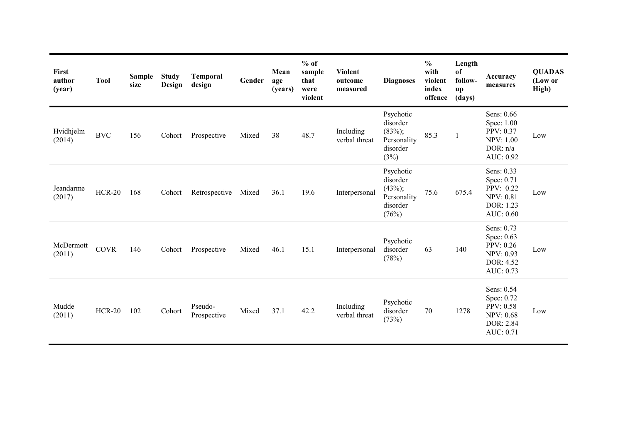| First<br>author<br>(year) | <b>Tool</b>   | <b>Sample</b><br>size | <b>Study</b><br>Design | <b>Temporal</b><br>design | Gender | Mean<br>age<br>(years) | $%$ of<br>sample<br>that<br>were<br>violent | <b>Violent</b><br>outcome<br>measured | <b>Diagnoses</b>                                                        | $\frac{6}{6}$<br>with<br>violent<br>index<br>offence | Length<br>of<br>follow-<br>up<br>(days) | Accuracy<br>measures                                                                 | <b>QUADAS</b><br>(Low or<br>High) |
|---------------------------|---------------|-----------------------|------------------------|---------------------------|--------|------------------------|---------------------------------------------|---------------------------------------|-------------------------------------------------------------------------|------------------------------------------------------|-----------------------------------------|--------------------------------------------------------------------------------------|-----------------------------------|
| Hvidhjelm<br>(2014)       | <b>BVC</b>    | 156                   | Cohort                 | Prospective               | Mixed  | 38                     | 48.7                                        | Including<br>verbal threat            | Psychotic<br>disorder<br>$(83\%)$ ;<br>Personality<br>disorder<br>(3%)  | 85.3                                                 | 1                                       | Sens: 0.66<br>Spec: 1.00<br>PPV: 0.37<br><b>NPV: 1.00</b><br>DOR: $n/a$<br>AUC: 0.92 | Low                               |
| Jeandarme<br>(2017)       | $HCR-20$      | 168                   | Cohort                 | Retrospective             | Mixed  | 36.1                   | 19.6                                        | Interpersonal                         | Psychotic<br>disorder<br>$(43\%)$ ;<br>Personality<br>disorder<br>(76%) | 75.6                                                 | 675.4                                   | Sens: 0.33<br>Spec: 0.71<br>PPV: 0.22<br><b>NPV: 0.81</b><br>DOR: 1.23<br>AUC: 0.60  | Low                               |
| McDermott<br>(2011)       | <b>COVR</b>   | 146                   | Cohort                 | Prospective               | Mixed  | 46.1                   | 15.1                                        | Interpersonal                         | Psychotic<br>disorder<br>(78%)                                          | 63                                                   | 140                                     | Sens: 0.73<br>Spec: 0.63<br>PPV: 0.26<br><b>NPV: 0.93</b><br>DOR: 4.52<br>AUC: 0.73  | Low                               |
| Mudde<br>(2011)           | <b>HCR-20</b> | 102                   | Cohort                 | Pseudo-<br>Prospective    | Mixed  | 37.1                   | 42.2                                        | Including<br>verbal threat            | Psychotic<br>disorder<br>(73%)                                          | 70                                                   | 1278                                    | Sens: 0.54<br>Spec: 0.72<br>PPV: 0.58<br><b>NPV: 0.68</b><br>DOR: 2.84<br>AUC: 0.71  | Low                               |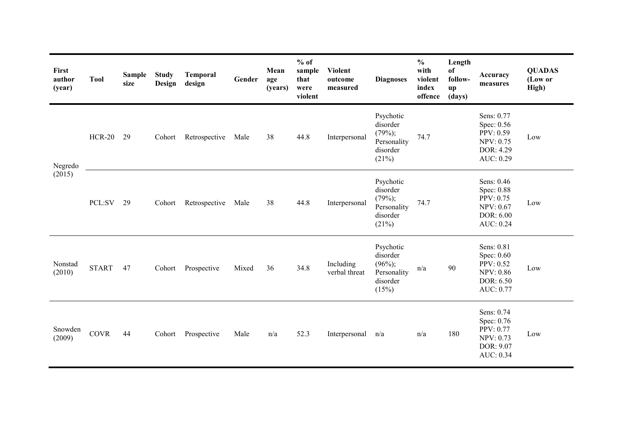| First<br>author<br>(year) | <b>Tool</b>   | <b>Sample</b><br>size | <b>Study</b><br>Design | Temporal<br>design | Gender | Mean<br>age<br>(years) | $%$ of<br>sample<br>that<br>were<br>violent | <b>Violent</b><br>outcome<br>measured | <b>Diagnoses</b>                                                        | $\frac{0}{0}$<br>with<br>violent<br>index<br>offence | Length<br>of<br>follow-<br>up<br>(days) | Accuracy<br>measures                                                                | <b>QUADAS</b><br>(Low or<br>High) |
|---------------------------|---------------|-----------------------|------------------------|--------------------|--------|------------------------|---------------------------------------------|---------------------------------------|-------------------------------------------------------------------------|------------------------------------------------------|-----------------------------------------|-------------------------------------------------------------------------------------|-----------------------------------|
| Negredo                   | <b>HCR-20</b> | 29                    | Cohort                 | Retrospective      | Male   | 38                     | 44.8                                        | Interpersonal                         | Psychotic<br>disorder<br>$(79%)$ ;<br>Personality<br>disorder<br>(21%)  | 74.7                                                 |                                         | Sens: 0.77<br>Spec: 0.56<br>PPV: 0.59<br><b>NPV: 0.75</b><br>DOR: 4.29<br>AUC: 0.29 | Low                               |
| (2015)                    | PCL:SV        | 29                    | Cohort                 | Retrospective      | Male   | 38                     | 44.8                                        | Interpersonal                         | Psychotic<br>disorder<br>$(79%)$ ;<br>Personality<br>disorder<br>(21%)  | 74.7                                                 |                                         | Sens: 0.46<br>Spec: 0.88<br>PPV: 0.75<br><b>NPV: 0.67</b><br>DOR: 6.00<br>AUC: 0.24 | Low                               |
| Nonstad<br>(2010)         | <b>START</b>  | 47                    | Cohort                 | Prospective        | Mixed  | 36                     | 34.8                                        | Including<br>verbal threat            | Psychotic<br>disorder<br>$(96\%)$ ;<br>Personality<br>disorder<br>(15%) | n/a                                                  | 90                                      | Sens: 0.81<br>Spec: 0.60<br>PPV: 0.52<br><b>NPV: 0.86</b><br>DOR: 6.50<br>AUC: 0.77 | Low                               |
| Snowden<br>(2009)         | <b>COVR</b>   | 44                    | Cohort                 | Prospective        | Male   | n/a                    | 52.3                                        | Interpersonal                         | n/a                                                                     | n/a                                                  | 180                                     | Sens: 0.74<br>Spec: 0.76<br>PPV: 0.77<br>NPV: 0.73<br>DOR: 9.07<br>AUC: 0.34        | Low                               |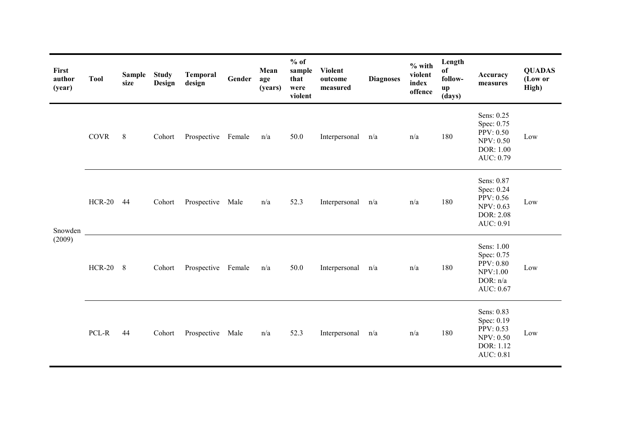| First<br>author<br>(year) | <b>Tool</b> | Sample<br>size | <b>Study</b><br>Design | <b>Temporal</b><br>design | Gender | Mean<br>age<br>(years) | $%$ of<br>sample<br>that<br>were<br>violent | <b>Violent</b><br>outcome<br>measured | <b>Diagnoses</b> | $%$ with<br>violent<br>index<br>offence | Length<br>of<br>follow-<br>$\mathbf{u}\mathbf{p}$<br>(days) | <b>Accuracy</b><br>measures                                                                | <b>QUADAS</b><br>(Low or<br>High) |
|---------------------------|-------------|----------------|------------------------|---------------------------|--------|------------------------|---------------------------------------------|---------------------------------------|------------------|-----------------------------------------|-------------------------------------------------------------|--------------------------------------------------------------------------------------------|-----------------------------------|
|                           | <b>COVR</b> | 8              | Cohort                 | Prospective Female        |        | n/a                    | 50.0                                        | Interpersonal n/a                     |                  | n/a                                     | 180                                                         | Sens: 0.25<br>Spec: 0.75<br><b>PPV: 0.50</b><br><b>NPV: 0.50</b><br>DOR: 1.00<br>AUC: 0.79 | Low                               |
| Snowden<br>(2009)         | HCR-20 44   |                | Cohort                 | Prospective Male          |        | n/a                    | 52.3                                        | Interpersonal n/a                     |                  | n/a                                     | 180                                                         | Sens: 0.87<br>Spec: 0.24<br>PPV: 0.56<br><b>NPV: 0.63</b><br>DOR: 2.08<br>AUC: 0.91        | Low                               |
|                           | HCR-20 8    |                | Cohort                 | Prospective Female        |        | n/a                    | 50.0                                        | Interpersonal n/a                     |                  | n/a                                     | 180                                                         | Sens: 1.00<br>Spec: 0.75<br>PPV: 0.80<br>NPV:1.00<br>DOR: $n/a$<br>AUC: 0.67               | Low                               |
|                           | PCL-R       | 44             | Cohort                 | Prospective Male          |        | n/a                    | 52.3                                        | Interpersonal n/a                     |                  | n/a                                     | 180                                                         | Sens: 0.83<br>Spec: 0.19<br>PPV: 0.53<br>NPV: 0.50<br>DOR: 1.12<br>AUC: 0.81               | Low                               |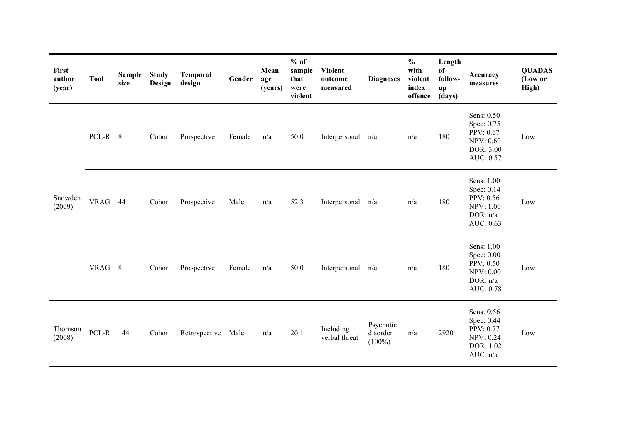| First<br>author<br>(year) | <b>Tool</b> | <b>Sample</b><br>size | <b>Study</b><br>Design | Temporal<br>design | Gender | Mean<br>age<br>(years) | $%$ of<br>sample<br>that<br>were<br>violent | <b>Violent</b><br>outcome<br>measured | <b>Diagnoses</b>                   | $\frac{6}{6}$<br>with<br>violent<br>index<br>offence | Length<br>of<br>follow-<br>up<br>(days) | Accuracy<br>measures                                                                | <b>QUADAS</b><br>(Low or<br>High) |
|---------------------------|-------------|-----------------------|------------------------|--------------------|--------|------------------------|---------------------------------------------|---------------------------------------|------------------------------------|------------------------------------------------------|-----------------------------------------|-------------------------------------------------------------------------------------|-----------------------------------|
|                           | PCL-R 8     |                       | Cohort                 | Prospective        | Female | n/a                    | 50.0                                        | Interpersonal                         | n/a                                | n/a                                                  | 180                                     | Sens: 0.50<br>Spec: 0.75<br>PPV: 0.67<br><b>NPV: 0.60</b><br>DOR: 3.00<br>AUC: 0.57 | Low                               |
| Snowden<br>(2009)         | VRAG 44     |                       | Cohort                 | Prospective        | Male   | n/a                    | 52.3                                        | Interpersonal n/a                     |                                    | n/a                                                  | 180                                     | Sens: 1.00<br>Spec: 0.14<br>PPV: 0.56<br><b>NPV: 1.00</b><br>DOR: n/a<br>AUC: 0.63  | Low                               |
|                           | VRAG 8      |                       | Cohort                 | Prospective        | Female | n/a                    | 50.0                                        | Interpersonal                         | n/a                                | n/a                                                  | 180                                     | Sens: 1.00<br>Spec: 0.00<br>PPV: 0.50<br><b>NPV: 0.00</b><br>DOR: n/a<br>AUC: 0.78  | Low                               |
| Thomson<br>(2008)         | PCL-R 144   |                       | Cohort                 | Retrospective      | Male   | n/a                    | 20.1                                        | Including<br>verbal threat            | Psychotic<br>disorder<br>$(100\%)$ | n/a                                                  | 2920                                    | Sens: 0.56<br>Spec: 0.44<br>PPV: 0.77<br>NPV: 0.24<br>DOR: 1.02<br>AUC: n/a         | Low                               |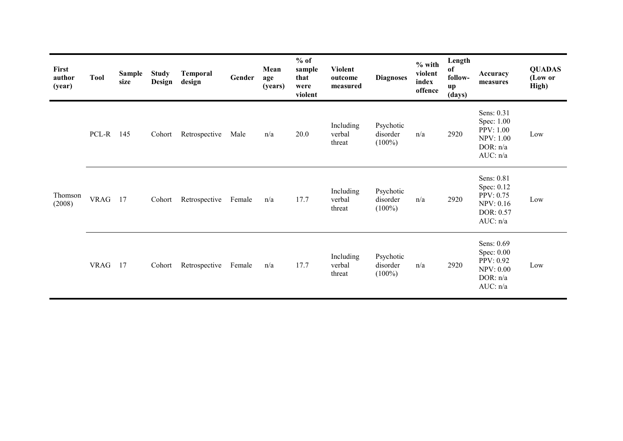| First<br>author<br>(year) | <b>Tool</b> | <b>Sample</b><br>size | <b>Study</b><br>Design | Temporal<br>design | Gender | Mean<br>age<br>(years) | $%$ of<br>sample<br>that<br>were<br>violent | <b>Violent</b><br>outcome<br>measured | <b>Diagnoses</b>                   | $%$ with<br>violent<br>index<br>offence | Length<br>of<br>follow-<br>$\mathbf{u}\mathbf{p}$<br>(days) | Accuracy<br>measures                                                                | <b>QUADAS</b><br>(Low or<br>High) |
|---------------------------|-------------|-----------------------|------------------------|--------------------|--------|------------------------|---------------------------------------------|---------------------------------------|------------------------------------|-----------------------------------------|-------------------------------------------------------------|-------------------------------------------------------------------------------------|-----------------------------------|
|                           | PCL-R 145   |                       | Cohort                 | Retrospective      | Male   | n/a                    | 20.0                                        | Including<br>verbal<br>threat         | Psychotic<br>disorder<br>$(100\%)$ | n/a                                     | 2920                                                        | Sens: 0.31<br>Spec: 1.00<br>PPV: 1.00<br><b>NPV: 1.00</b><br>DOR: $n/a$<br>AUC: n/a | Low                               |
| Thomson<br>(2008)         | <b>VRAG</b> | 17                    | Cohort                 | Retrospective      | Female | n/a                    | 17.7                                        | Including<br>verbal<br>threat         | Psychotic<br>disorder<br>$(100\%)$ | n/a                                     | 2920                                                        | Sens: 0.81<br>Spec: 0.12<br>PPV: 0.75<br><b>NPV: 0.16</b><br>DOR: 0.57<br>AUC: n/a  | Low                               |
|                           | <b>VRAG</b> | 17                    | Cohort                 | Retrospective      | Female | n/a                    | 17.7                                        | Including<br>verbal<br>threat         | Psychotic<br>disorder<br>$(100\%)$ | n/a                                     | 2920                                                        | Sens: 0.69<br>Spec: 0.00<br>PPV: 0.92<br><b>NPV: 0.00</b><br>DOR: $n/a$<br>AUC: n/a | Low                               |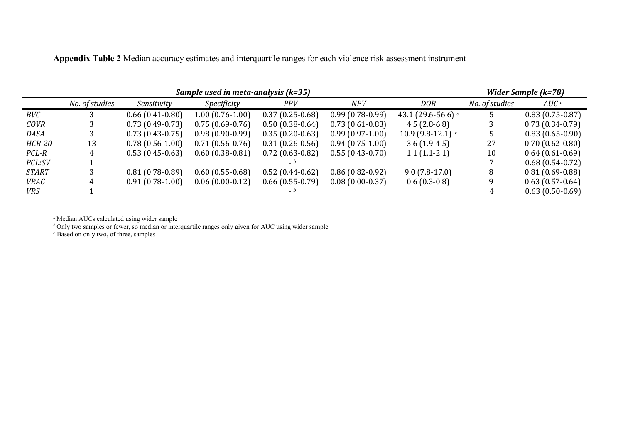|               |                |                   | Sample used in meta-analysis (k=35) |                    |                   |                             | Wider Sample (k=78) |                                 |  |
|---------------|----------------|-------------------|-------------------------------------|--------------------|-------------------|-----------------------------|---------------------|---------------------------------|--|
|               | No. of studies | Sensitivity       | Specificity                         | <b>PPV</b>         | <b>NPV</b>        | <b>DOR</b>                  | No. of studies      | $AUC$ <sup><math>a</math></sup> |  |
| BVC           |                | $0.66(0.41-0.80)$ | $1.00(0.76-1.00)$                   | $0.37(0.25-0.68)$  | $0.99(0.78-0.99)$ | 43.1 (29.6-56.6) $\epsilon$ |                     | $0.83(0.75-0.87)$               |  |
| <b>COVR</b>   |                | $0.73(0.49-0.73)$ | $0.75(0.69-0.76)$                   | $0.50(0.38-0.64)$  | $0.73(0.61-0.83)$ | $4.5(2.8-6.8)$              |                     | $0.73(0.34-0.79)$               |  |
| DASA          |                | $0.73(0.43-0.75)$ | $0.98(0.90-0.99)$                   | $0.35(0.20-0.63)$  | $0.99(0.97-1.00)$ | 10.9 $(9.8-12.1)$           |                     | $0.83(0.65-0.90)$               |  |
| <b>HCR-20</b> | 13             | $0.78(0.56-1.00)$ | $0.71(0.56-0.76)$                   | $0.31(0.26-0.56)$  | $0.94(0.75-1.00)$ | $3.6(1.9-4.5)$              | 27                  | $0.70(0.62 - 0.80)$             |  |
| $PCL-R$       |                | $0.53(0.45-0.63)$ | $0.60(0.38-0.81)$                   | $0.72(0.63-0.82)$  | $0.55(0.43-0.70)$ | $1.1(1.1-2.1)$              | 10                  | $0.64(0.61-0.69)$               |  |
| PCL:SV        |                |                   |                                     |                    |                   |                             |                     | $0.68(0.54-0.72)$               |  |
| <b>START</b>  |                | $0.81(0.78-0.89)$ | $0.60(0.55-0.68)$                   | $0.52(0.44-0.62)$  | $0.86(0.82-0.92)$ | $9.0(7.8-17.0)$             | 8                   | $0.81(0.69-0.88)$               |  |
| <b>VRAG</b>   |                | $0.91(0.78-1.00)$ | $0.06(0.00-0.12)$                   | $0.66$ (0.55-0.79) | $0.08(0.00-0.37)$ | $0.6(0.3-0.8)$              |                     | $0.63(0.57-0.64)$               |  |
| VRS           |                |                   |                                     | $- b$              |                   |                             |                     | $0.63(0.50-0.69)$               |  |

**Appendix Table 2** Median accuracy estimates and interquartile ranges for each violence risk assessment instrument

*<sup>a</sup>* Median AUCs calculated using wider sample

*<sup>b</sup>* Only two samples or fewer, so median or interquartile ranges only given for AUC using wider sample

*<sup>c</sup>* Based on only two, of three, samples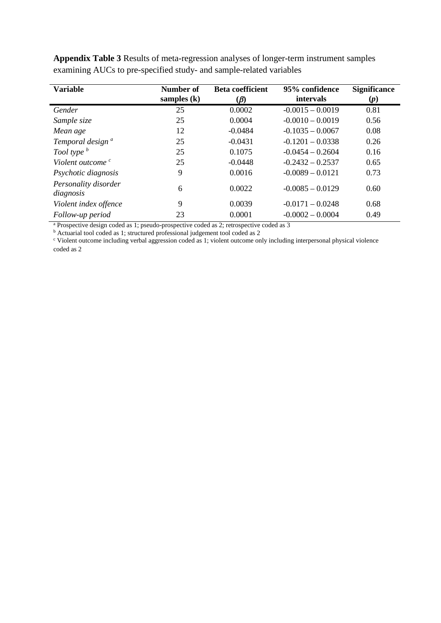| <b>Variable</b>                   | <b>Number of</b><br>samples $(k)$ | <b>Beta coefficient</b><br>$(\beta)$ | 95% confidence<br>intervals | <b>Significance</b><br>(p) |
|-----------------------------------|-----------------------------------|--------------------------------------|-----------------------------|----------------------------|
| Gender                            | 25                                | 0.0002                               | $-0.0015 - 0.0019$          | 0.81                       |
| Sample size                       | 25                                | 0.0004                               | $-0.0010 - 0.0019$          | 0.56                       |
| Mean age                          | 12                                | $-0.0484$                            | $-0.1035 - 0.0067$          | 0.08                       |
| Temporal design <sup>a</sup>      | 25                                | $-0.0431$                            | $-0.1201 - 0.0338$          | 0.26                       |
| Tool type <sup>b</sup>            | 25                                | 0.1075                               | $-0.0454 - 0.2604$          | 0.16                       |
| Violent outcome <sup>c</sup>      | 25                                | $-0.0448$                            | $-0.2432 - 0.2537$          | 0.65                       |
| Psychotic diagnosis               | 9                                 | 0.0016                               | $-0.0089 - 0.0121$          | 0.73                       |
| Personality disorder<br>diagnosis | 6                                 | 0.0022                               | $-0.0085 - 0.0129$          | 0.60                       |
| Violent index offence             | 9                                 | 0.0039                               | $-0.0171 - 0.0248$          | 0.68                       |
| Follow-up period<br>. .           | 23                                | 0.0001                               | $-0.0002 - 0.0004$          | 0.49                       |

**Appendix Table 3** Results of meta-regression analyses of longer-term instrument samples examining AUCs to pre-specified study- and sample-related variables

<sup>a</sup> Prospective design coded as 1; pseudo-prospective coded as 2; retrospective coded as 3

<sup>b</sup> Actuarial tool coded as 1; structured professional judgement tool coded as 2

<sup>c</sup> Violent outcome including verbal aggression coded as 1; violent outcome only including interpersonal physical violence coded as 2